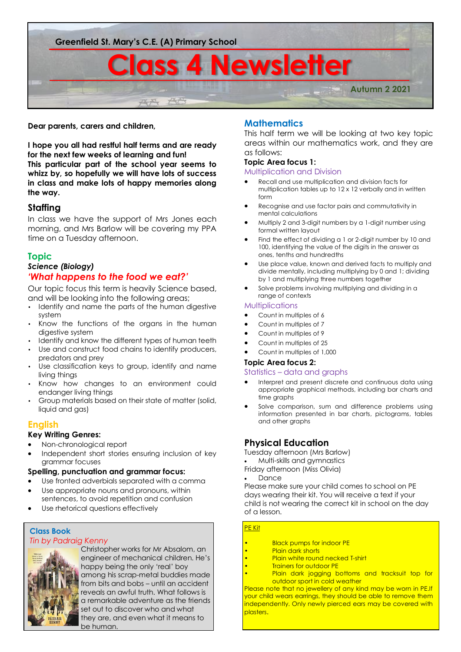

### **Dear parents, carers and children,**

**I hope you all had restful half terms and are ready for the next few weeks of learning and fun! This particular part of the school year seems to whizz by, so hopefully we will have lots of success in class and make lots of happy memories along the way.** 

# **Staffing**

In class we have the support of Mrs Jones each morning, and Mrs Barlow will be covering my PPA time on a Tuesday afternoon.

# **Topic**

# *Science (Biology) 'What happens to the food we eat?'*

Our topic focus this term is heavily Science based, and will be looking into the following areas;

- Identify and name the parts of the human digestive system
- Know the functions of the organs in the human digestive system
- Identify and know the different types of human teeth
- Use and construct food chains to identify producers, predators and prey
- Use classification keys to group, identify and name living things
- Know how changes to an environment could endanger living things
- Group materials based on their state of matter (solid, liquid and gas)

# **English**

### **Key Writing Genres:**

- Non-chronological report
- Independent short stories ensuring inclusion of key grammar focuses

#### **Spelling, punctuation and grammar focus:**

- Use fronted adverbials separated with a comma
- Use appropriate nouns and pronouns, within sentences, to avoid repetition and confusion
- Use rhetorical questions effectively

# **Class Book** *Tin by Padraig Kenny*



Christopher works for Mr Absalom, an engineer of mechanical children. He's happy being the only 'real' boy among his scrap-metal buddies made from bits and bobs – until an accident reveals an awful truth. What follows is a remarkable adventure as the friends set out to discover who and what they are, and even what it means to be human.

# **Mathematics**

This half term we will be looking at two key topic areas within our mathematics work, and they are as follows:

### **Topic Area focus 1:**

#### Multiplication and Division

- Recall and use multiplication and division facts for multiplication tables up to 12 x 12 verbally and in written form
- Recognise and use factor pairs and commutativity in mental calculations
- Multiply 2 and 3-digit numbers by a 1-digit number using formal written layout
- Find the effect of dividing a 1 or 2-digit number by 10 and 100, identifying the value of the digits in the answer as ones, tenths and hundredths
- Use place value, known and derived facts to multiply and divide mentally, including multiplying by 0 and 1; dividing by 1 and multiplying three numbers together
- Solve problems involving multiplying and dividing in a range of contexts

#### Multiplications

- Count in multiples of 6
- Count in multiples of 7
- Count in multiples of 9
- Count in multiples of 25
- Count in multiples of 1,000

#### **Topic Area focus 2:**

#### Statistics – data and graphs

- Interpret and present discrete and continuous data using appropriate graphical methods, including bar charts and time graphs
- Solve comparison, sum and difference problems using information presented in bar charts, pictograms, tables and other graphs

# **Physical Education**

Tuesday afternoon (Mrs Barlow)

- Multi-skills and gymnastics
- Friday afternoon (Miss Olivia)

Dance

Please make sure your child comes to school on PE days wearing their kit. You will receive a text if your child is not wearing the correct kit in school on the day of a lesson.

#### PE Kit

- Black pumps for indoor PE
- **Plain dark shorts**
- **Plain white round necked T-shirt**
- **Trainers for outdoor PE**
- Plain dark jogging bottoms and tracksuit top for outdoor sport in cold weather

Please note that no jewellery of any kind may be worn in PE.If your child wears earrings, they should be able to remove them independently. Only newly pierced ears may be covered with plasters.